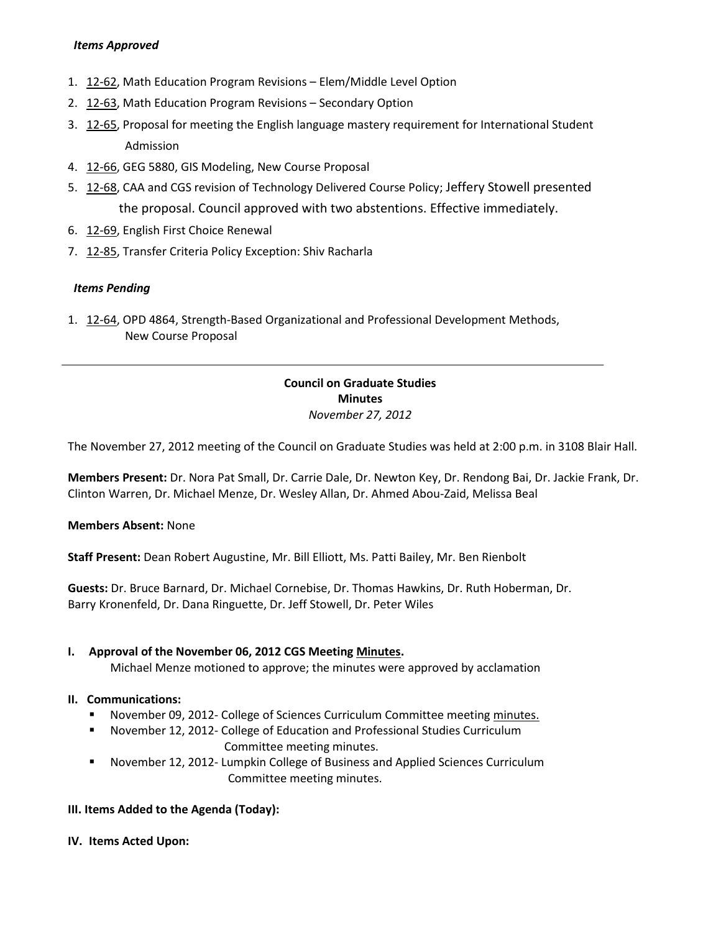### *Items Approved*

- 1. [12-62,](http://castle.eiu.edu/~eiucgs/currentagendaitems/agenda12-62.pdf) Math Education Program Revisions Elem/Middle Level Option
- 2. [12-63,](http://castle.eiu.edu/~eiucgs/currentagendaitems/agenda12-63.pdf) Math Education Program Revisions Secondary Option
- 3. [12-65,](http://castle.eiu.edu/~eiucgs/currentagendaitems/agenda12-65.pdf) Proposal for meeting the English language mastery requirement for International Student Admission
- 4. [12-66,](http://castle.eiu.edu/~eiucgs/currentagendaitems/agenda12-66.pdf) GEG 5880, GIS Modeling, New Course Proposal
- 5. [12-68,](http://castle.eiu.edu/~eiucgs/currentagendaitems/agenda12-68.pdf) CAA and CGS revision of Technology Delivered Course Policy; Jeffery Stowell presented the proposal. Council approved with two abstentions. Effective immediately.
- 6. [12-69,](http://castle.eiu.edu/~eiucgs/currentagendaitems/agenda12-69.pdf) English First Choice Renewal
- 7. [12-85,](http://castle.eiu.edu/~eiucgs/currentagendaitems/agenda12-85.pdf) Transfer Criteria Policy Exception: Shiv Racharla

### *Items Pending*

1. [12-64,](http://castle.eiu.edu/~eiucgs/currentagendaitems/agenda12-64.pdf) OPD 4864, Strength-Based Organizational and Professional Development Methods, New Course Proposal

## **Council on Graduate Studies Minutes** *November 27, 2012*

The November 27, 2012 meeting of the Council on Graduate Studies was held at 2:00 p.m. in 3108 Blair Hall.

**Members Present:** Dr. Nora Pat Small, Dr. Carrie Dale, Dr. Newton Key, Dr. Rendong Bai, Dr. Jackie Frank, Dr. Clinton Warren, Dr. Michael Menze, Dr. Wesley Allan, Dr. Ahmed Abou-Zaid, Melissa Beal

### **Members Absent:** None

**Staff Present:** Dean Robert Augustine, Mr. Bill Elliott, Ms. Patti Bailey, Mr. Ben Rienbolt

**Guests:** Dr. Bruce Barnard, Dr. Michael Cornebise, Dr. Thomas Hawkins, Dr. Ruth Hoberman, Dr. Barry Kronenfeld, Dr. Dana Ringuette, Dr. Jeff Stowell, Dr. Peter Wiles

### **I. Approval of the November 06, 2012 CGS Meetin[g Minutes.](http://castle.eiu.edu/eiucgs/currentminutes/Minutes10-16-12.pdf)**

Michael Menze motioned to approve; the minutes were approved by acclamation

### **II. Communications:**

- November 09, 2012- College of Sciences Curriculum Committee meeting [minutes.](http://castle.eiu.edu/~eiucgs/currentagendaitems/COSMin11-09-12.pdf)
- November 12, 2012- College of Education and Professional Studies Curriculum Committee meeting minutes.
- November 12, 2012- Lumpkin College of Business and Applied Sciences Curriculum Committee meeting minutes.

### **III. Items Added to the Agenda (Today):**

**IV. Items Acted Upon:**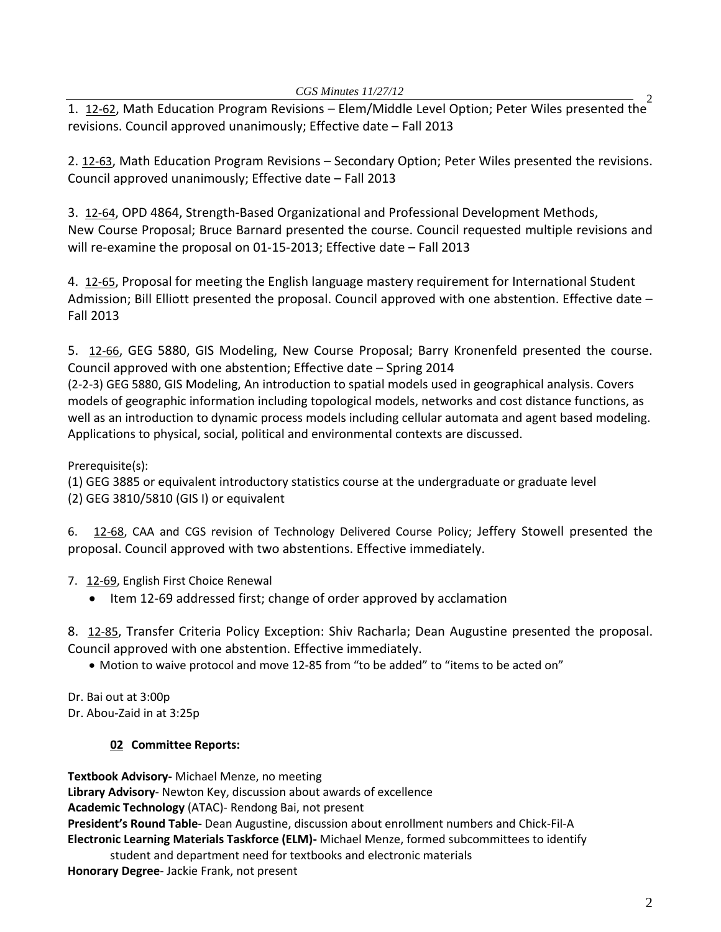1. [12-62,](http://castle.eiu.edu/~eiucgs/currentagendaitems/agenda12-62.pdf) Math Education Program Revisions – Elem/Middle Level Option; Peter Wiles presented the<sup>2</sup> revisions. Council approved unanimously; Effective date – Fall 2013

2. [12-63,](http://castle.eiu.edu/~eiucgs/currentagendaitems/agenda12-63.pdf) Math Education Program Revisions – Secondary Option; Peter Wiles presented the revisions. Council approved unanimously; Effective date – Fall 2013

3. [12-64,](http://castle.eiu.edu/~eiucgs/currentagendaitems/agenda12-64.pdf) OPD 4864, Strength-Based Organizational and Professional Development Methods, New Course Proposal; Bruce Barnard presented the course. Council requested multiple revisions and will re-examine the proposal on 01-15-2013; Effective date – Fall 2013

4. [12-65,](http://castle.eiu.edu/~eiucgs/currentagendaitems/agenda12-65.pdf) Proposal for meeting the English language mastery requirement for International Student Admission; Bill Elliott presented the proposal. Council approved with one abstention. Effective date – Fall 2013

5. [12-66,](http://castle.eiu.edu/~eiucgs/currentagendaitems/agenda12-66.pdf) GEG 5880, GIS Modeling, New Course Proposal; Barry Kronenfeld presented the course. Council approved with one abstention; Effective date – Spring 2014

(2-2-3) GEG 5880, GIS Modeling, An introduction to spatial models used in geographical analysis. Covers models of geographic information including topological models, networks and cost distance functions, as well as an introduction to dynamic process models including cellular automata and agent based modeling. Applications to physical, social, political and environmental contexts are discussed.

Prerequisite(s):

(1) GEG 3885 or equivalent introductory statistics course at the undergraduate or graduate level (2) GEG 3810/5810 (GIS I) or equivalent

6. [12-68,](http://castle.eiu.edu/~eiucgs/currentagendaitems/agenda12-68.pdf) CAA and CGS revision of Technology Delivered Course Policy; Jeffery Stowell presented the proposal. Council approved with two abstentions. Effective immediately.

7. [12-69,](http://castle.eiu.edu/~eiucgs/currentagendaitems/agenda12-69.pdf) English First Choice Renewal

• Item 12-69 addressed first; change of order approved by acclamation

8. [12-85,](http://castle.eiu.edu/~eiucgs/currentagendaitems/agenda12-85.pdf) Transfer Criteria Policy Exception: Shiv Racharla; Dean Augustine presented the proposal. Council approved with one abstention. Effective immediately.

• Motion to waive protocol and move 12-85 from "to be added" to "items to be acted on"

Dr. Bai out at 3:00p Dr. Abou-Zaid in at 3:25p

# **02 Committee Reports:**

**Textbook Advisory-** Michael Menze, no meeting **Library Advisory**- Newton Key, discussion about awards of excellence **Academic Technology** (ATAC)- Rendong Bai, not present **President's Round Table-** Dean Augustine, discussion about enrollment numbers and Chick-Fil-A **Electronic Learning Materials Taskforce (ELM)-** Michael Menze, formed subcommittees to identify student and department need for textbooks and electronic materials

**Honorary Degree**- Jackie Frank, not present